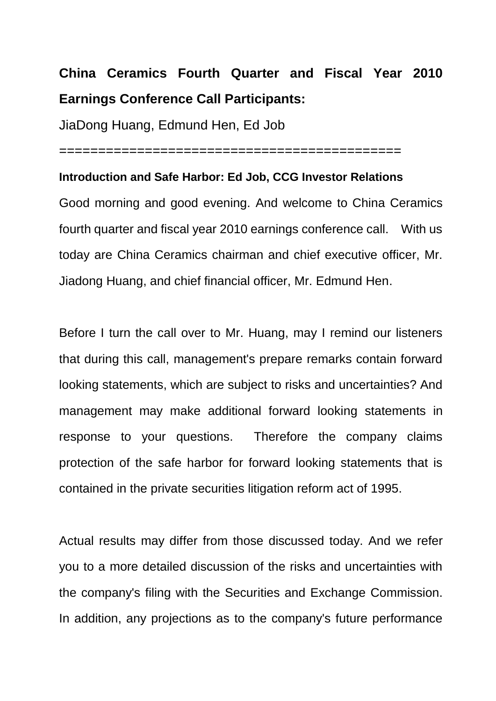# **China Ceramics Fourth Quarter and Fiscal Year 2010 Earnings Conference Call Participants:**

JiaDong Huang, Edmund Hen, Ed Job

============================================

#### **Introduction and Safe Harbor: Ed Job, CCG Investor Relations**

Good morning and good evening. And welcome to China Ceramics fourth quarter and fiscal year 2010 earnings conference call. With us today are China Ceramics chairman and chief executive officer, Mr. Jiadong Huang, and chief financial officer, Mr. Edmund Hen.

Before I turn the call over to Mr. Huang, may I remind our listeners that during this call, management's prepare remarks contain forward looking statements, which are subject to risks and uncertainties? And management may make additional forward looking statements in response to your questions. Therefore the company claims protection of the safe harbor for forward looking statements that is contained in the private securities litigation reform act of 1995.

Actual results may differ from those discussed today. And we refer you to a more detailed discussion of the risks and uncertainties with the company's filing with the Securities and Exchange Commission. In addition, any projections as to the company's future performance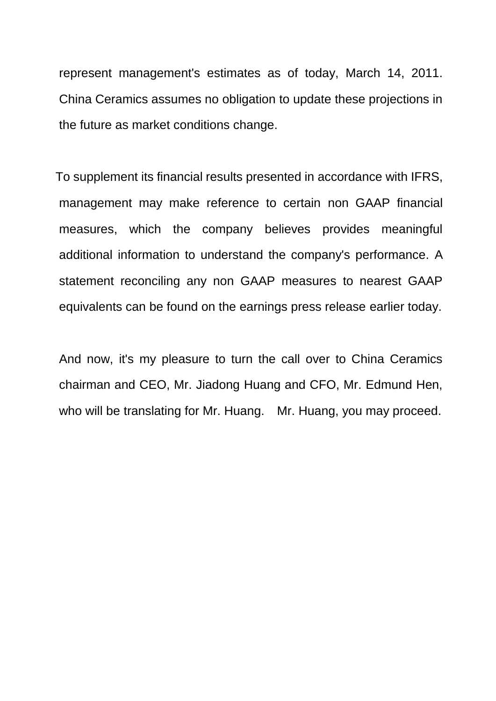represent management's estimates as of today, March 14, 2011. China Ceramics assumes no obligation to update these projections in the future as market conditions change.

To supplement its financial results presented in accordance with IFRS, management may make reference to certain non GAAP financial measures, which the company believes provides meaningful additional information to understand the company's performance. A statement reconciling any non GAAP measures to nearest GAAP equivalents can be found on the earnings press release earlier today.

And now, it's my pleasure to turn the call over to China Ceramics chairman and CEO, Mr. Jiadong Huang and CFO, Mr. Edmund Hen, who will be translating for Mr. Huang. Mr. Huang, you may proceed.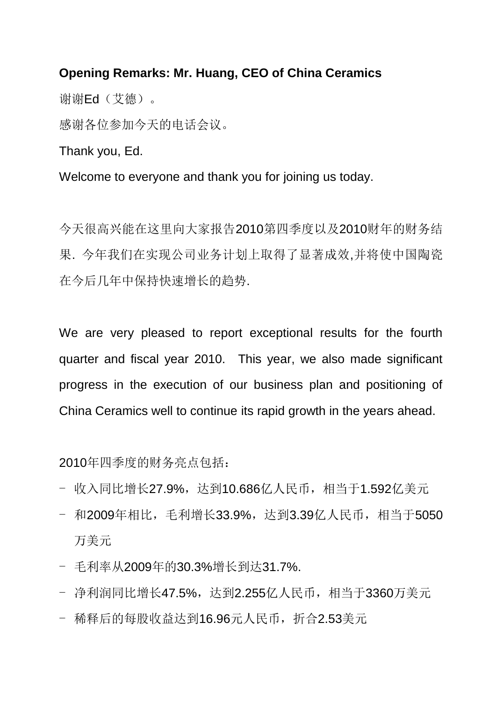## **Opening Remarks: Mr. Huang, CEO of China Ceramics**

谢谢Ed(艾德)。

感谢各位参加今天的电话会议。

Thank you, Ed.

Welcome to everyone and thank you for joining us today.

今天很高兴能在这里向大家报告2010第四季度以及2010财年的财务结 果. 今年我们在实现公司业务计划上取得了显著成效,并将使中国陶瓷 在今后几年中保持快速增长的趋势.

We are very pleased to report exceptional results for the fourth quarter and fiscal year 2010. This year, we also made significant progress in the execution of our business plan and positioning of China Ceramics well to continue its rapid growth in the years ahead.

2010年四季度的财务亮点包括:

- 收入同比增长27.9%, 达到10.686亿人民币, 相当于1.592亿美元
- 和2009年相比,毛利增长33.9%,达到3.39亿人民币,相当于5050 万美元
- 毛利率从2009年的30.3%增长到达31.7%.
- 净利润同比增长47.5%, 达到2.255亿人民币, 相当于3360万美元
- 稀释后的每股收益达到16.96元人民币,折合2.53美元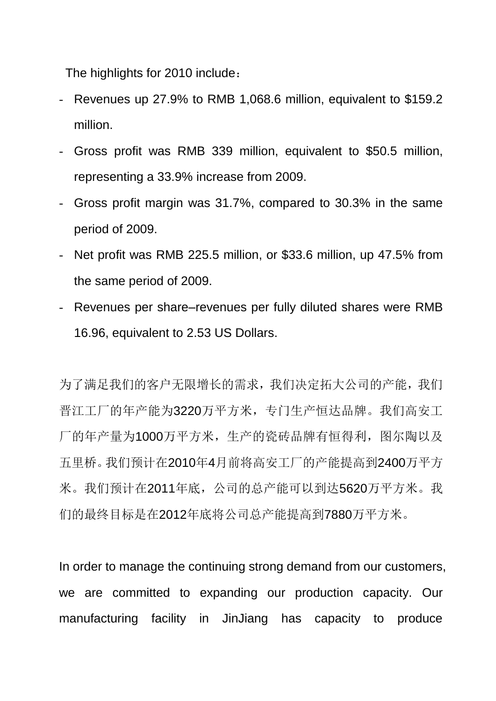The highlights for 2010 include:

- Revenues up 27.9% to RMB 1,068.6 million, equivalent to \$159.2 million.
- Gross profit was RMB 339 million, equivalent to \$50.5 million, representing a 33.9% increase from 2009.
- Gross profit margin was 31.7%, compared to 30.3% in the same period of 2009.
- Net profit was RMB 225.5 million, or \$33.6 million, up 47.5% from the same period of 2009.
- Revenues per share–revenues per fully diluted shares were RMB 16.96, equivalent to 2.53 US Dollars.

为了满足我们的客户无限增长的需求,我们决定拓大公司的产能,我们 晋江工厂的年产能为3220万平方米,专门生产恒达品牌。我们高安工 厂的年产量为1000万平方米,生产的瓷砖品牌有恒得利,图尔陶以及 五里桥。我们预计在2010年4月前将高安工厂的产能提高到2400万平方 米。我们预计在2011年底,公司的总产能可以到达5620万平方米。我 们的最终目标是在2012年底将公司总产能提高到7880万平方米。

In order to manage the continuing strong demand from our customers, we are committed to expanding our production capacity. Our manufacturing facility in JinJiang has capacity to produce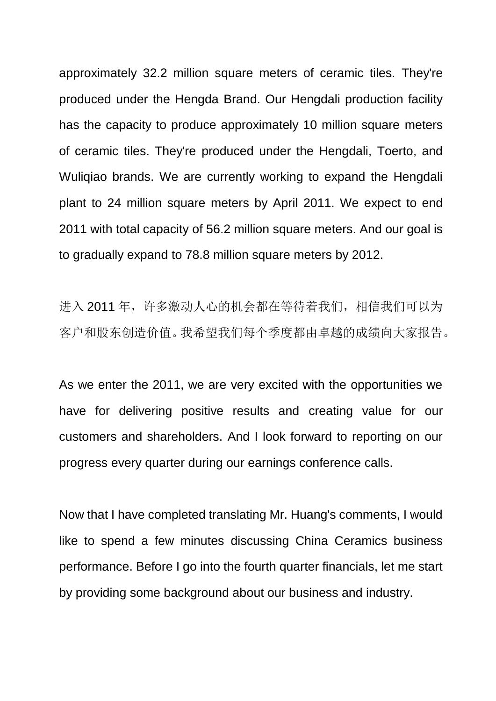approximately 32.2 million square meters of ceramic tiles. They're produced under the Hengda Brand. Our Hengdali production facility has the capacity to produce approximately 10 million square meters of ceramic tiles. They're produced under the Hengdali, Toerto, and Wuliqiao brands. We are currently working to expand the Hengdali plant to 24 million square meters by April 2011. We expect to end 2011 with total capacity of 56.2 million square meters. And our goal is to gradually expand to 78.8 million square meters by 2012.

进入 2011 年,许多激动人心的机会都在等待着我们,相信我们可以为 客户和股东创造价值。我希望我们每个季度都由卓越的成绩向大家报告。

As we enter the 2011, we are very excited with the opportunities we have for delivering positive results and creating value for our customers and shareholders. And I look forward to reporting on our progress every quarter during our earnings conference calls.

Now that I have completed translating Mr. Huang's comments, I would like to spend a few minutes discussing China Ceramics business performance. Before I go into the fourth quarter financials, let me start by providing some background about our business and industry.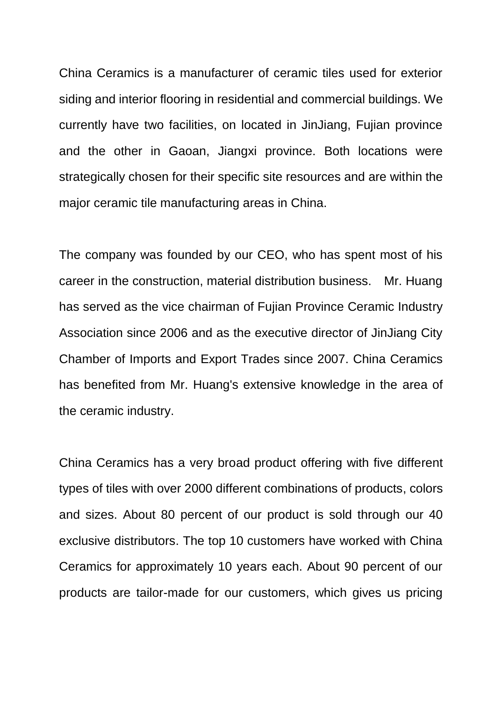China Ceramics is a manufacturer of ceramic tiles used for exterior siding and interior flooring in residential and commercial buildings. We currently have two facilities, on located in JinJiang, Fujian province and the other in Gaoan, Jiangxi province. Both locations were strategically chosen for their specific site resources and are within the major ceramic tile manufacturing areas in China.

The company was founded by our CEO, who has spent most of his career in the construction, material distribution business. Mr. Huang has served as the vice chairman of Fujian Province Ceramic Industry Association since 2006 and as the executive director of JinJiang City Chamber of Imports and Export Trades since 2007. China Ceramics has benefited from Mr. Huang's extensive knowledge in the area of the ceramic industry.

China Ceramics has a very broad product offering with five different types of tiles with over 2000 different combinations of products, colors and sizes. About 80 percent of our product is sold through our 40 exclusive distributors. The top 10 customers have worked with China Ceramics for approximately 10 years each. About 90 percent of our products are tailor-made for our customers, which gives us pricing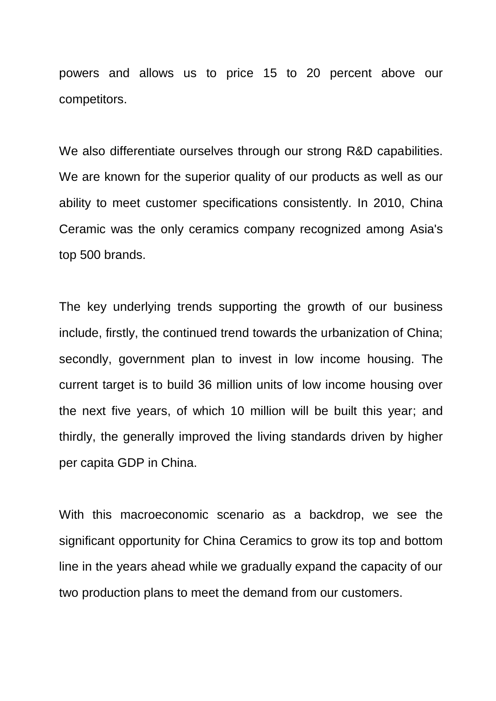powers and allows us to price 15 to 20 percent above our competitors.

We also differentiate ourselves through our strong R&D capabilities. We are known for the superior quality of our products as well as our ability to meet customer specifications consistently. In 2010, China Ceramic was the only ceramics company recognized among Asia's top 500 brands.

The key underlying trends supporting the growth of our business include, firstly, the continued trend towards the urbanization of China; secondly, government plan to invest in low income housing. The current target is to build 36 million units of low income housing over the next five years, of which 10 million will be built this year; and thirdly, the generally improved the living standards driven by higher per capita GDP in China.

With this macroeconomic scenario as a backdrop, we see the significant opportunity for China Ceramics to grow its top and bottom line in the years ahead while we gradually expand the capacity of our two production plans to meet the demand from our customers.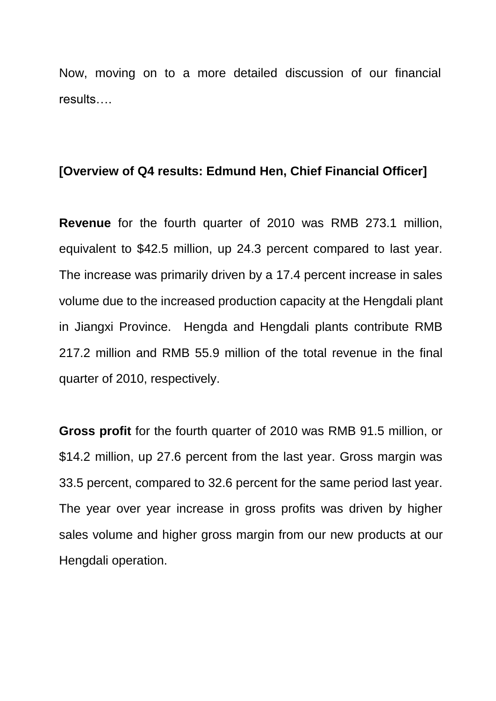Now, moving on to a more detailed discussion of our financial results….

### **[Overview of Q4 results: Edmund Hen, Chief Financial Officer]**

**Revenue** for the fourth quarter of 2010 was RMB 273.1 million, equivalent to \$42.5 million, up 24.3 percent compared to last year. The increase was primarily driven by a 17.4 percent increase in sales volume due to the increased production capacity at the Hengdali plant in Jiangxi Province. Hengda and Hengdali plants contribute RMB 217.2 million and RMB 55.9 million of the total revenue in the final quarter of 2010, respectively.

**Gross profit** for the fourth quarter of 2010 was RMB 91.5 million, or \$14.2 million, up 27.6 percent from the last year. Gross margin was 33.5 percent, compared to 32.6 percent for the same period last year. The year over year increase in gross profits was driven by higher sales volume and higher gross margin from our new products at our Hengdali operation.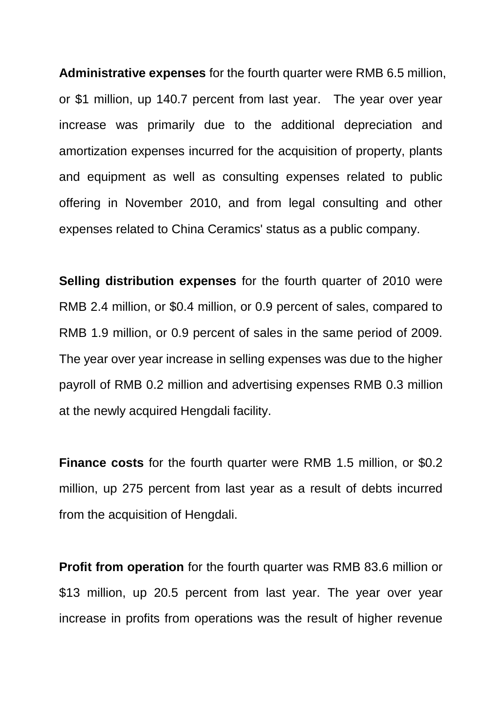**Administrative expenses** for the fourth quarter were RMB 6.5 million, or \$1 million, up 140.7 percent from last year. The year over year increase was primarily due to the additional depreciation and amortization expenses incurred for the acquisition of property, plants and equipment as well as consulting expenses related to public offering in November 2010, and from legal consulting and other expenses related to China Ceramics' status as a public company.

**Selling distribution expenses** for the fourth quarter of 2010 were RMB 2.4 million, or \$0.4 million, or 0.9 percent of sales, compared to RMB 1.9 million, or 0.9 percent of sales in the same period of 2009. The year over year increase in selling expenses was due to the higher payroll of RMB 0.2 million and advertising expenses RMB 0.3 million at the newly acquired Hengdali facility.

**Finance costs** for the fourth quarter were RMB 1.5 million, or \$0.2 million, up 275 percent from last year as a result of debts incurred from the acquisition of Hengdali.

**Profit from operation** for the fourth quarter was RMB 83.6 million or \$13 million, up 20.5 percent from last year. The year over year increase in profits from operations was the result of higher revenue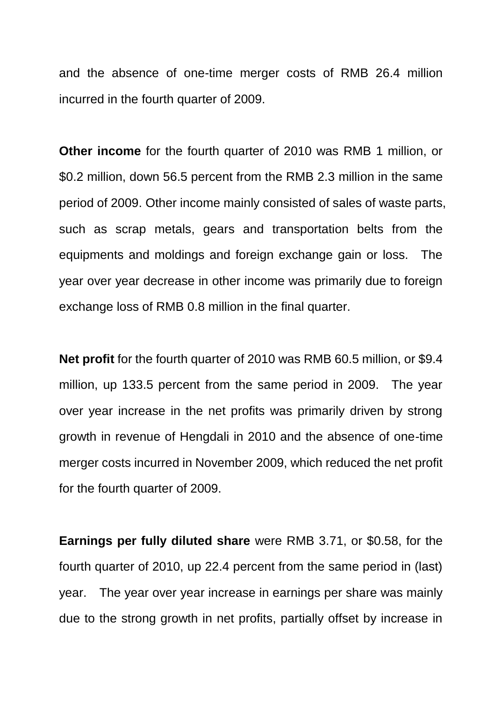and the absence of one-time merger costs of RMB 26.4 million incurred in the fourth quarter of 2009.

**Other income** for the fourth quarter of 2010 was RMB 1 million, or \$0.2 million, down 56.5 percent from the RMB 2.3 million in the same period of 2009. Other income mainly consisted of sales of waste parts, such as scrap metals, gears and transportation belts from the equipments and moldings and foreign exchange gain or loss. The year over year decrease in other income was primarily due to foreign exchange loss of RMB 0.8 million in the final quarter.

**Net profit** for the fourth quarter of 2010 was RMB 60.5 million, or \$9.4 million, up 133.5 percent from the same period in 2009. The year over year increase in the net profits was primarily driven by strong growth in revenue of Hengdali in 2010 and the absence of one-time merger costs incurred in November 2009, which reduced the net profit for the fourth quarter of 2009.

**Earnings per fully diluted share** were RMB 3.71, or \$0.58, for the fourth quarter of 2010, up 22.4 percent from the same period in (last) year. The year over year increase in earnings per share was mainly due to the strong growth in net profits, partially offset by increase in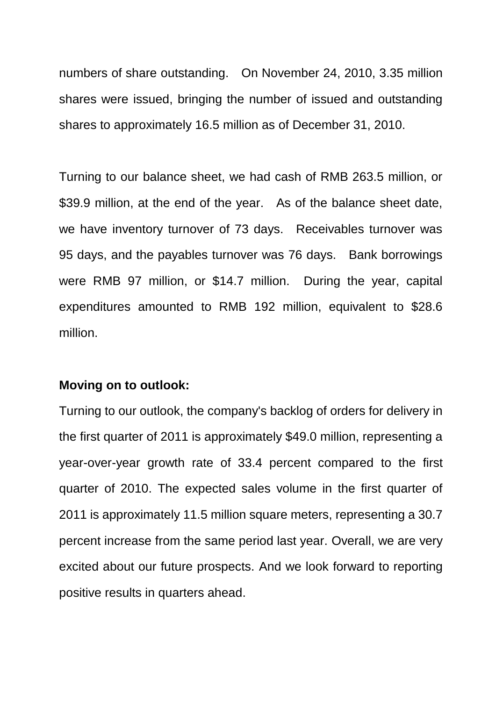numbers of share outstanding. On November 24, 2010, 3.35 million shares were issued, bringing the number of issued and outstanding shares to approximately 16.5 million as of December 31, 2010.

Turning to our balance sheet, we had cash of RMB 263.5 million, or \$39.9 million, at the end of the year. As of the balance sheet date, we have inventory turnover of 73 days. Receivables turnover was 95 days, and the payables turnover was 76 days. Bank borrowings were RMB 97 million, or \$14.7 million. During the year, capital expenditures amounted to RMB 192 million, equivalent to \$28.6 million.

### **Moving on to outlook:**

Turning to our outlook, the company's backlog of orders for delivery in the first quarter of 2011 is approximately \$49.0 million, representing a year-over-year growth rate of 33.4 percent compared to the first quarter of 2010. The expected sales volume in the first quarter of 2011 is approximately 11.5 million square meters, representing a 30.7 percent increase from the same period last year. Overall, we are very excited about our future prospects. And we look forward to reporting positive results in quarters ahead.